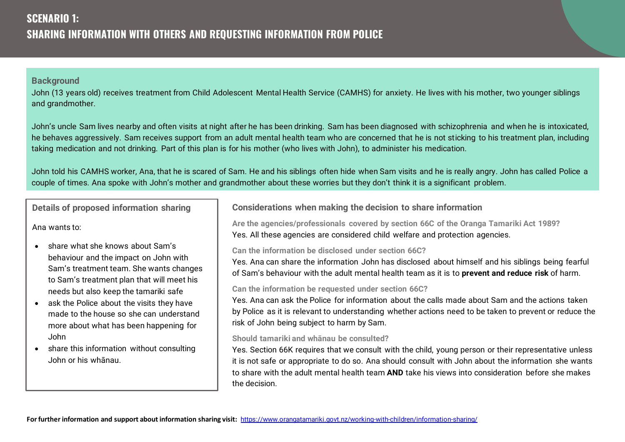John (13 years old) receives treatment from Child Adolescent Mental Health Service (CAMHS) for anxiety. He lives with his mother, two younger siblings and grandmother.

John's uncle Sam lives nearby and often visits at night after he has been drinking. Sam has been diagnosed with schizophrenia and when he is intoxicated, he behaves aggressively. Sam receives support from an adult mental health team who are concerned that he is not sticking to his treatment plan, including taking medication and not drinking. Part of this plan is for his mother (who lives with John), to administer his medication.

John told his CAMHS worker, Ana, that he is scared of Sam. He and his siblings often hide when Sam visits and he is really angry. John has called Police a couple of times. Ana spoke with John's mother and grandmother about these worries but they don't think it is a significant problem.

**Details of proposed information sharing** 

Ana wants to:

- share what she knows about Sam's behaviour and the impact on John with Sam's treatment team. She wants changes to Sam's treatment plan that will meet his needs but also keep the tamariki safe
- ask the Police about the visits they have made to the house so she can understand more about what has been happening for John
- share this information without consulting John or his whānau.

**Considerations when making the decision to share information**

**Are the agencies/professionals covered by section 66C of the Oranga Tamariki Act 1989?**  Yes. All these agencies are considered child welfare and protection agencies.

**Can the information be disclosed under section 66C?**

Yes. Ana can share the information John has disclosed about himself and his siblings being fearful of Sam's behaviour with the adult mental health team as it is to **prevent and reduce risk** of harm.

**Can the information be requested under section 66C?**

Yes. Ana can ask the Police for information about the calls made about Sam and the actions taken by Police as it is relevant to understanding whether actions need to be taken to prevent or reduce the risk of John being subject to harm by Sam.

#### **Should tamariki and whānau be consulted?**

Yes. Section 66K requires that we consult with the child, young person or their representative unless it is not safe or appropriate to do so. Ana should consult with John about the information she wants to share with the adult mental health team **AND** take his views into consideration before she makes the decision.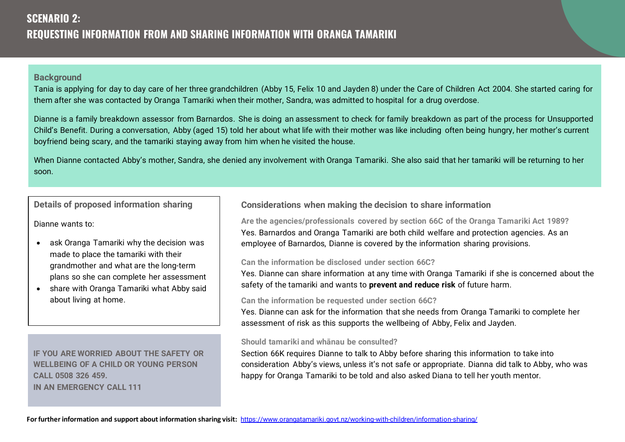Tania is applying for day to day care of her three grandchildren (Abby 15, Felix 10 and Jayden 8) under the Care of Children Act 2004. She started caring for them after she was contacted by Oranga Tamariki when their mother, Sandra, was admitted to hospital for a drug overdose.

Dianne is a family breakdown assessor from Barnardos. She is doing an assessment to check for family breakdown as part of the process for Unsupported Child's Benefit. During a conversation, Abby (aged 15) told her about what life with their mother was like including often being hungry, her mother's current boyfriend being scary, and the tamariki staying away from him when he visited the house.

When Dianne contacted Abby's mother, Sandra, she denied any involvement with Oranga Tamariki. She also said that her tamariki will be returning to her soon.

# **Details of proposed information sharing**

Dianne wants to:

- ask Oranga Tamariki why the decision was made to place the tamariki with their grandmother and what are the long-term plans so she can complete her assessment
- share with Oranga Tamariki what Abby said about living at home.

**IF YOU ARE WORRIED ABOUT THE SAFETY OR WELLBEING OF A CHILD OR YOUNG PERSON CALL 0508 326 459. IN AN EMERGENCY CALL 111**

# **Considerations when making the decision to share information**

**Are the agencies/professionals covered by section 66C of the Oranga Tamariki Act 1989?**  Yes. Barnardos and Oranga Tamariki are both child welfare and protection agencies. As an employee of Barnardos, Dianne is covered by the information sharing provisions.

#### **Can the information be disclosed under section 66C?**

Yes. Dianne can share information at any time with Oranga Tamariki if she is concerned about the safety of the tamariki and wants to **prevent and reduce risk** of future harm.

#### **Can the information be requested under section 66C?**

Yes. Dianne can ask for the information that she needs from Oranga Tamariki to complete her assessment of risk as this supports the wellbeing of Abby, Felix and Jayden.

#### **Should tamariki and whānau be consulted?**

Section 66K requires Dianne to talk to Abby before sharing this information to take into consideration Abby's views, unless it's not safe or appropriate. Dianna did talk to Abby, who was happy for Oranga Tamariki to be told and also asked Diana to tell her youth mentor.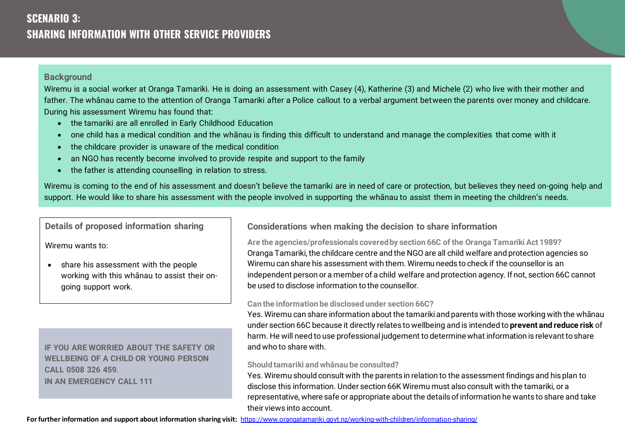# **SCENARIO 3: SHARING INFORMATION WITH OTHER SERVICE PROVIDERS**

## **Background**

Wiremu is a social worker at Oranga Tamariki. He is doing an assessment with Casey (4), Katherine (3) and Michele (2) who live with their mother and father. The whānau came to the attention of Oranga Tamariki after a Police callout to a verbal argument between the parents over money and childcare. During his assessment Wiremu has found that:

- the tamariki are all enrolled in Early Childhood Education
- one child has a medical condition and the whānau is finding this difficult to understand and manage the complexities that come with it
- the childcare provider is unaware of the medical condition
- an NGO has recently become involved to provide respite and support to the family
- the father is attending counselling in relation to stress.

Wiremu is coming to the end of his assessment and doesn't believe the tamariki are in need of care or protection, but believes they need on-going help and support. He would like to share his assessment with the people involved in supporting the whanau to assist them in meeting the children's needs.

**Details of proposed information sharing** 

Wiremu wants to:

• share his assessment with the people working with this whānau to assist their ongoing support work.

**IF YOU ARE WORRIED ABOUT THE SAFETY OR WELLBEING OF A CHILD OR YOUNG PERSON CALL 0508 326 459. IN AN EMERGENCY CALL 111**

**Considerations when making the decision to share information**

**Are the agencies/professionals covered by section 66C of the Oranga Tamariki Act 1989?**  Oranga Tamariki, the childcare centre and the NGO are all child welfare and protection agencies so Wiremu can share his assessment with them. Wiremu needs to check if the counsellor is an independent person or a member of a child welfare and protection agency. If not, section 66C cannot be used to disclose information to the counsellor.

## **Can the information be disclosed under section 66C?**

Yes. Wiremu can share information about the tamariki and parents with those working with the whānau under section 66C because it directly relates to wellbeing and is intended to **prevent and reduce risk** of harm. He will need to use professional judgement to determine what information is relevant to share and who to share with.

## **Should tamariki and whānau be consulted?**

Yes. Wiremu should consult with the parents in relation to the assessment findings and his plan to disclose this information. Under section 66K Wiremu must also consult with the tamariki, or a representative, where safe or appropriate about the details of information he wants to share and take their views into account.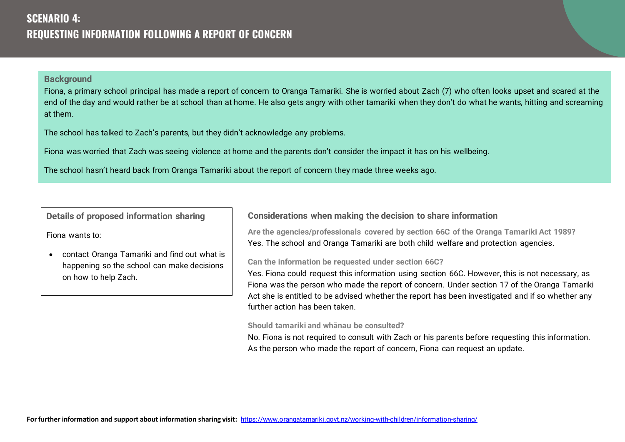Fiona, a primary school principal has made a report of concern to Oranga Tamariki. She is worried about Zach (7) who often looks upset and scared at the end of the day and would rather be at school than at home. He also gets angry with other tamariki when they don't do what he wants, hitting and screaming at them.

The school has talked to Zach's parents, but they didn't acknowledge any problems.

Fiona was worried that Zach was seeing violence at home and the parents don't consider the impact it has on his wellbeing.

The school hasn't heard back from Oranga Tamariki about the report of concern they made three weeks ago.

**Details of proposed information sharing** 

Fiona wants to:

• contact Oranga Tamariki and find out what is happening so the school can make decisions on how to help Zach.

# **Considerations when making the decision to share information**

**Are the agencies/professionals covered by section 66C of the Oranga Tamariki Act 1989?**  Yes. The school and Oranga Tamariki are both child welfare and protection agencies.

#### **Can the information be requested under section 66C?**

Yes. Fiona could request this information using section 66C. However, this is not necessary, as Fiona was the person who made the report of concern. Under section 17 of the Oranga Tamariki Act she is entitled to be advised whether the report has been investigated and if so whether any further action has been taken.

#### **Should tamariki and whānau be consulted?**

No. Fiona is not required to consult with Zach or his parents before requesting this information. As the person who made the report of concern, Fiona can request an update.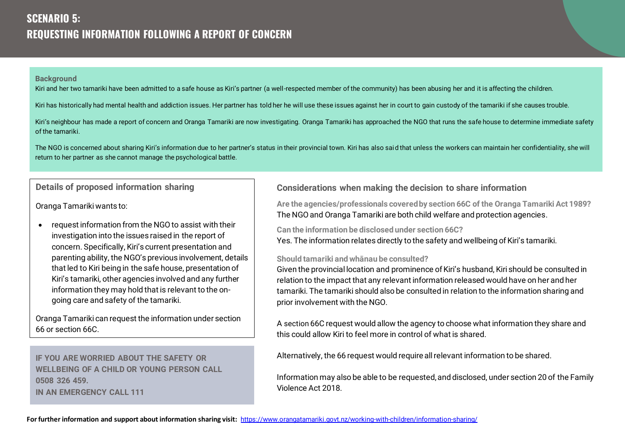# **SCENARIO 5: REQUESTING INFORMATION FOLLOWING A REPORT OF CONCERN**

#### **Background**

Kiri and her two tamariki have been admitted to a safe house as Kiri's partner (a well-respected member of the community) has been abusing her and it is affecting the children.

Kiri has historically had mental health and addiction issues. Her partner has told her he will use these issues against her in court to gain custody of the tamariki if she causes trouble.

Kiri's neighbour has made a report of concern and Oranga Tamariki are now investigating. Oranga Tamariki has approached the NGO that runs the safe house to determine immediate safety of the tamariki.

The NGO is concerned about sharing Kiri's information due to her partner's status in their provincial town. Kiri has also sai d that unless the workers can maintain her confidentiality, she will return to her partner as she cannot manage the psychological battle.

# **Details of proposed information sharing**

Oranga Tamariki wants to:

• request information from the NGO to assist with their investigation into the issues raised in the report of concern. Specifically, Kiri's current presentation and parenting ability, the NGO's previous involvement, details that led to Kiri being in the safe house, presentation of Kiri's tamariki, other agencies involved and any further information they may hold that is relevant to the ongoing care and safety of the tamariki.

Oranga Tamariki can request the information under section 66 or section 66C.

**IF YOU ARE WORRIED ABOUT THE SAFETY OR WELLBEING OF A CHILD OR YOUNG PERSON CALL 0508 326 459. IN AN EMERGENCY CALL 111**

## **Considerations when making the decision to share information**

**Are the agencies/professionals covered by section 66C of the Oranga Tamariki Act 1989?**  The NGO and Oranga Tamariki are both child welfare and protection agencies.

**Can the information be disclosed under section 66C?** Yes. The information relates directly to the safety and wellbeing of Kiri's tamariki.

#### **Should tamariki and whānau be consulted?**

Given the provincial location and prominence of Kiri's husband, Kiri should be consulted in relation to the impact that any relevant information released would have on her and her tamariki. The tamariki should also be consulted in relation to the information sharing and prior involvement with the NGO.

A section 66C request would allow the agency to choose what information they share and this could allow Kiri to feel more in control of what is shared.

Alternatively, the 66 request would require all relevant information to be shared.

Information may also be able to be requested, and disclosed, under section 20 of the Family Violence Act 2018.